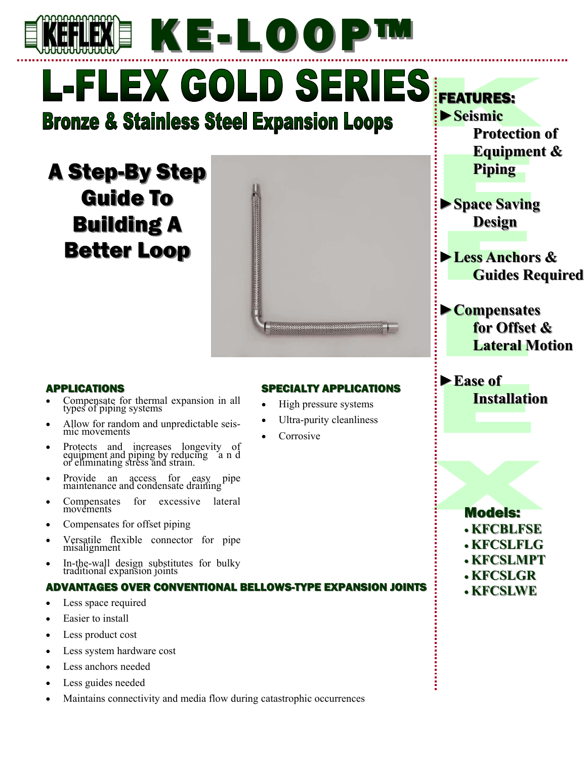# KE-LOOP™ L-FLEX GOLD SERIES

## **Bronze & Stainless Steel Expansion Loops**

**A Step-By Step** Guide To Guide To **Building A Better Loop** 



#### APPLICATIONS APPLICATIONS

- Compensate for thermal expansion in all types of piping systems
- Allow for random and unpredictable seismic movements
- Protects and increases longevity of equipment and piping by reducing a n d or eliminating stress and strain.
- Provide an access for easy pipe maintenance and condensate draining
- Compensates for excessive lateral movements
- Compensates for offset piping
- Versatile flexible connector for pipe misalignment
- In-the-wall design substitutes for bulky traditional expansion joints

#### ADVANTAGES OVER CONVENTIONAL BELLOWS ADVANTAGES OVER CONVENTIONAL BELLOWS-TYPE EXPANSION JOINTS TYPE EXPANSION JOINTS

- Less space required
- Easier to install
- Less product cost
- Less system hardware cost
- Less anchors needed
- Less guides needed
- Maintains connectivity and media flow during catastrophic occurrences

#### **SPECIALTY APPLICATIONS**

- High pressure systems
- Ultra-purity cleanliness
- **Corrosive**

#### FEATURES: **►Seismic Seismic Protection of Protection of**

 **Equipment & Equipment & Piping**

▶ Space Saving  **Design**

**►Less Anchors & Less Anchors & Guides Required Guides Required**

**►Compensates Compensates for Offset & Lateral Motion Lateral Motion**

► Ease of  **Installation Installation**

Models: Models:

- **KFCBLFSE KFCBLFSE**
- **KFCSLFLG KFCSLFLG**
- **KFCSLMPT KFCSLMPT**
- **KFCSLGR KFCSLGR**
- **KFCSLWE KFCSLWE**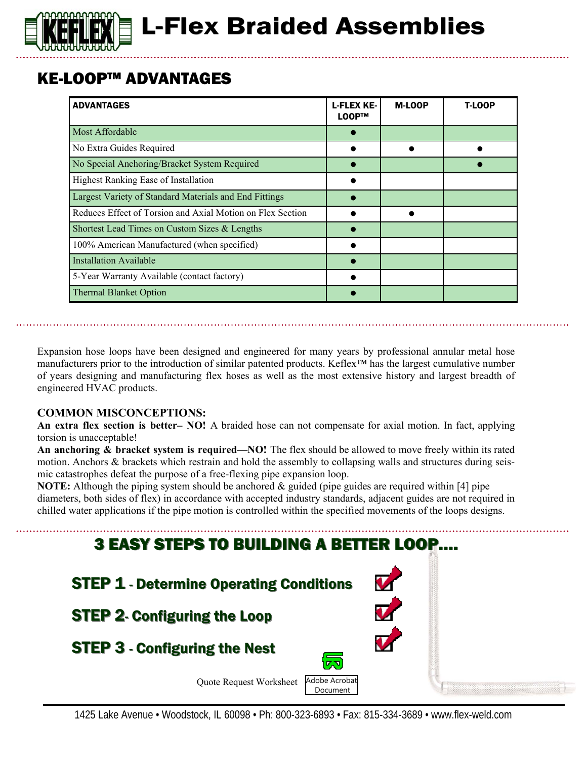### KE-LOOP™ ADVANTAGES

| <b>ADVANTAGES</b>                                          | <b>L-FLEX KE-</b><br>LOOP™ | <b>M-LOOP</b> | T-LOOP |
|------------------------------------------------------------|----------------------------|---------------|--------|
| Most Affordable                                            |                            |               |        |
| No Extra Guides Required                                   |                            |               |        |
| No Special Anchoring/Bracket System Required               |                            |               |        |
| <b>Highest Ranking Ease of Installation</b>                |                            |               |        |
| Largest Variety of Standard Materials and End Fittings     |                            |               |        |
| Reduces Effect of Torsion and Axial Motion on Flex Section |                            |               |        |
| Shortest Lead Times on Custom Sizes & Lengths              |                            |               |        |
| 100% American Manufactured (when specified)                |                            |               |        |
| <b>Installation Available</b>                              |                            |               |        |
| 5-Year Warranty Available (contact factory)                |                            |               |        |
| <b>Thermal Blanket Option</b>                              |                            |               |        |

Expansion hose loops have been designed and engineered for many years by professional annular metal hose manufacturers prior to the introduction of similar patented products. Keflex™ has the largest cumulative number of years designing and manufacturing flex hoses as well as the most extensive history and largest breadth of engineered HVAC products.

#### **COMMON MISCONCEPTIONS:**

**An extra flex section is better– NO!** A braided hose can not compensate for axial motion. In fact, applying torsion is unacceptable!

**An anchoring & bracket system is required—NO!** The flex should be allowed to move freely within its rated motion. Anchors & brackets which restrain and hold the assembly to collapsing walls and structures during seismic catastrophes defeat the purpose of a free-flexing pipe expansion loop.

**NOTE:** Although the piping system should be anchored & guided (pipe guides are required within [4] pipe diameters, both sides of flex) in accordance with accepted industry standards, adjacent guides are not required in chilled water applications if the pipe motion is controlled within the specified movements of the loops designs.

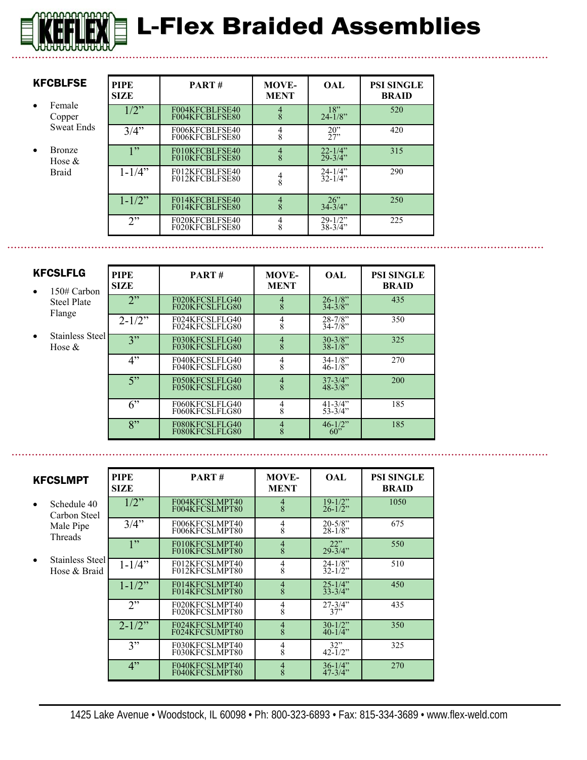## **L-Flex Braided Assemblies**

|           | KFCBLFSE                  | <b>PIPE</b><br><b>SIZE</b> | PART#                            | <b>MOVE-</b><br><b>MENT</b> | <b>OAL</b>                   | <b>PSI SINGLE</b><br><b>BRAID</b> |
|-----------|---------------------------|----------------------------|----------------------------------|-----------------------------|------------------------------|-----------------------------------|
| $\bullet$ | Female<br>Copper          | $1/2$ "                    | F004KFCBLFSE40<br>FŐŐ4KFČBLFŠE8Ő | $\frac{4}{8}$               | $24-1/8$ "                   | 520                               |
|           | <b>Sweat Ends</b>         | 3/4"                       | F006KFCBLFSE40<br>F006KFCBLFSE80 | $\frac{4}{8}$               | 20"                          | 420                               |
| $\bullet$ | <b>Bronze</b><br>Hose $&$ | 1, 22                      | F010KFCBLFSE40<br>F010KFCBLFSE80 | $\frac{4}{8}$               | $22 - 1/4$ "<br>$29 - 3/4"$  | 315                               |
|           | <b>Braid</b>              | $1 - 1/4$ "                | F012KFCBLFSE40<br>F012KFCBLFSE80 | $\frac{4}{8}$               | $24 - 1/4$ "<br>$32 - 1/4$ " | 290                               |
|           |                           | $1 - 1/2$ "                | F014KFCBLFSE40<br>F014KFCBLFSE80 | $\frac{4}{8}$               | 26<br>$34 - 3/4$ "           | 250                               |
|           |                           | 2"                         | F020KFCBLFSE40<br>F020KFCBLFSE80 | $\frac{4}{8}$               | $29 - 1/2$ "<br>$38 - 3/4$ " | 225                               |

#### KFCSLFLG

- 150# Car Steel Plat Flange
- **Stainless** Hose &

| rbon  | <b>PIPE</b><br><b>SIZE</b> | PART#                            | <b>MOVE-</b><br><b>MENT</b> | <b>OAL</b>                   | <b>PSI SINGLE</b><br><b>BRAID</b> |
|-------|----------------------------|----------------------------------|-----------------------------|------------------------------|-----------------------------------|
| te    | 2"                         | F020KFCSLFLG40<br>F020KFCSLFLG80 | $\frac{4}{8}$               | $^{26-1/8}_{34-3/8}$         | 435                               |
|       | $2 - 1/2$ "                | F024KFCSLFLG40<br>F024KFCSLFLG80 | $\frac{4}{8}$               | $28 - 7/8$ "<br>$34 - 7/8$   | 350                               |
| Steel | 3"                         | F030KFCSLFLG40<br>F030KFCSLFLG80 | $\frac{4}{8}$               | $30 - 3/8$ "<br>$38 - 1/8$ " | 325                               |
|       | 4"                         | F040KFCSLFLG40<br>F040KFCSLFLG80 | $\frac{4}{8}$               | $34 - 1/8$ "<br>$46 - 1/8$ " | 270                               |
|       | 5"                         | F050KFCSLFLG40<br>F050KFCSLFLG80 | $\frac{4}{8}$               | $37 - 3/4"$<br>$48 - 3/8$ "  | 200                               |
|       | $6$ "                      | F060KFCSLFLG40<br>F060KFCSLFLG80 | $\frac{4}{8}$               | $41 - 3/4$ "<br>$53 - 3/4$ " | 185                               |
|       | 8"                         | F080KFCSLFLG40<br>F080KFCSLFLG80 | $\frac{4}{8}$               | $46 - 1/2$ "<br>60"          | 185                               |

#### KFCSLMPT

**PIPE SIZE** 

- Schedule 40 Carbon Steel Male Pipe Threads
	- 1/2" F004KFCSLMPT40<br>F004KFCSLMPT80 4 8 19-1/2" 26-1/2" 3/4" F006KFCSLMPT40 F006KFCSLMPT80 4 8 20-5/8"<br>28-1/8" 675 1" F010KFCSLMPT40 F010KFCSLMPT80 4 8  $29 - 3/4"$ 550 1-1/4" F012KFCSLMPT40 F012KFCSLMPT80 4 8 24-1/8" 32-1/2" 510 1-1/2" F014KFCSLMPT40 F014KFCSLMPT80 4 8 25-1/4" 33-3/4" 450 2" F020KFCSLMPT40 F020KFCSLMPT80 4 8 27-3/4" 37" 435 2-1/2" F024KFCSLMPT40 F024KFCSUMPT80 4 8 30-1/2" 40-1/4" 350 3" F030KFCSLMPT40 F030KFCSLMPT80 4 8  $32"$ <br>42-1/2" 325 4" F040KFCSLMPT40 F040KFCSLMPT80 4 8 36-1/4" 47-3/4" 270 Stainless Steel Hose & Braid

PART # MOVE-

**MENT** 

**OAL PSI SINGLE** 

**BRAID** 

1050